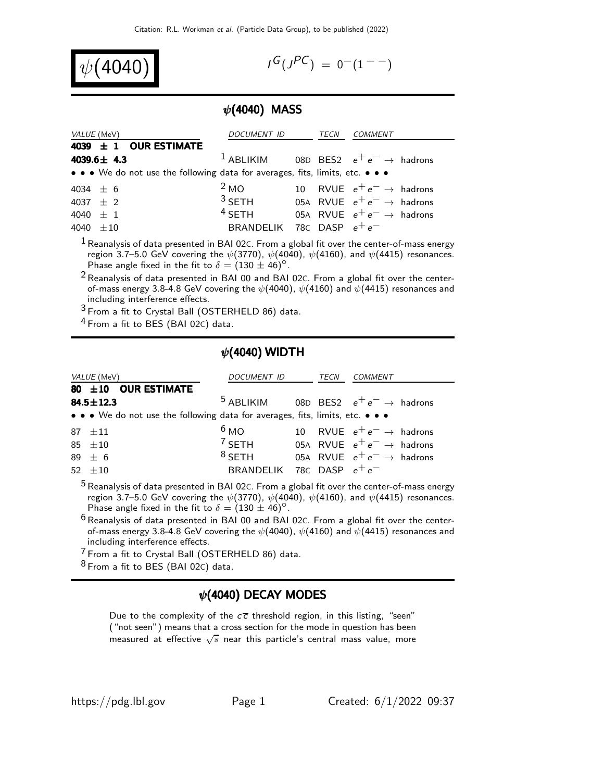$\psi($ 4040) in the set of  $\psi$ 

 $G(J^{PC}) = 0^{-}(1^{--})$ 

### $\psi$ (4040) MASS

| VALUE (MeV)                                                                   | <i>DOCUMENT ID</i>          | TECN | <i>COMMENT</i>                                             |
|-------------------------------------------------------------------------------|-----------------------------|------|------------------------------------------------------------|
| 4039 $\pm$ 1 OUR ESTIMATE                                                     |                             |      |                                                            |
| 4039.6 $\pm$ 4.3                                                              |                             |      | <sup>1</sup> ABLIKIM 08D BES2 $e^+e^- \rightarrow$ hadrons |
| • • • We do not use the following data for averages, fits, limits, etc. • • • |                             |      |                                                            |
| 4034 $\pm$ 6                                                                  | 2 <sub>MO</sub>             |      | 10 RVUE $e^+e^- \rightarrow$ hadrons                       |
| 4037 $\pm$ 2                                                                  |                             |      | <sup>3</sup> SETH 05A RVUE $e^+e^- \rightarrow$ hadrons    |
| 4040 $\pm$ 1                                                                  | $4$ SFTH                    |      | 05A RVUE $e^+e^- \rightarrow$ hadrons                      |
| 4040 $\pm 10$                                                                 | BRANDELIK 78C DASP $e^+e^-$ |      |                                                            |

 $<sup>1</sup>$  Reanalysis of data presented in BAI 02C. From a global fit over the center-of-mass energy</sup> region 3.7–5.0 GeV covering the  $\psi(3770)$ ,  $\psi(4040)$ ,  $\psi(4160)$ , and  $\psi(4415)$  resonances. Phase angle fixed in the fit to  $\delta = (130 \pm 46)^{\circ}$ .

 $2$  Reanalysis of data presented in BAI 00 and BAI 02C. From a global fit over the centerof-mass energy 3.8-4.8 GeV covering the  $\psi$ (4040),  $\psi$ (4160) and  $\psi$ (4415) resonances and including interference effects.

3 From a fit to Crystal Ball (OSTERHELD 86) data.

4 From a fit to BES (BAI 02C) data.

#### $\psi$ (4040) WIDTH

| <i>VALUE</i> (MeV)                                                              | <i>DOCUMENT ID</i>          | TECN | <b>COMMENT</b>                                             |
|---------------------------------------------------------------------------------|-----------------------------|------|------------------------------------------------------------|
| 80 ±10 OUR ESTIMATE                                                             |                             |      |                                                            |
| $84.5 \pm 12.3$                                                                 |                             |      | <sup>5</sup> ABLIKIM 08D BES2 $e^+e^- \rightarrow$ hadrons |
| • • • We do not use the following data for averages, fits, limits, etc. • • •   |                             |      |                                                            |
| $87 + 11$                                                                       | 6 <sub>MO</sub>             |      | 10 RVUE $e^+e^- \rightarrow$ hadrons                       |
| 85 $\pm 10$                                                                     | $7$ SETH                    |      | 05A RVUE $e^+e^- \rightarrow$ hadrons                      |
| $89 \pm 6$                                                                      | $8$ SETH                    |      | 05A RVUE $e^+e^- \rightarrow$ hadrons                      |
| 52 $\pm 10$                                                                     | BRANDELIK 78C DASP $e^+e^-$ |      |                                                            |
| $5D$ $\cdots$ $1L$ $\cdots$ $0L$ $0C$ $\cdots$ $0L$ $\cdots$ $0L$ $\cdots$ $0L$ |                             |      |                                                            |

<sup>5</sup> Reanalysis of data presented in BAI 02C. From a global fit over the center-of-mass energy region 3.7–5.0 GeV covering the  $\psi(3770)$ ,  $\psi(4040)$ ,  $\psi(4160)$ , and  $\psi(4415)$  resonances. Phase angle fixed in the fit to  $\delta = (130 \pm 46)^{\circ}$ .

 $6$  Reanalysis of data presented in BAI 00 and BAI 02 $c$ . From a global fit over the centerof-mass energy 3.8-4.8 GeV covering the  $\psi(4040)$ ,  $\psi(4160)$  and  $\psi(4415)$  resonances and including interference effects.

7 From a fit to Crystal Ball (OSTERHELD 86) data.

 $8$  From a fit to BES (BAI 02C) data.

### $\psi$ (4040) DECAY MODES

Due to the complexity of the  $c\overline{c}$  threshold region, in this listing, "seen" ("not seen") means that a cross section for the mode in question has been measured at effective  $\sqrt{s}$  near this particle's central mass value, more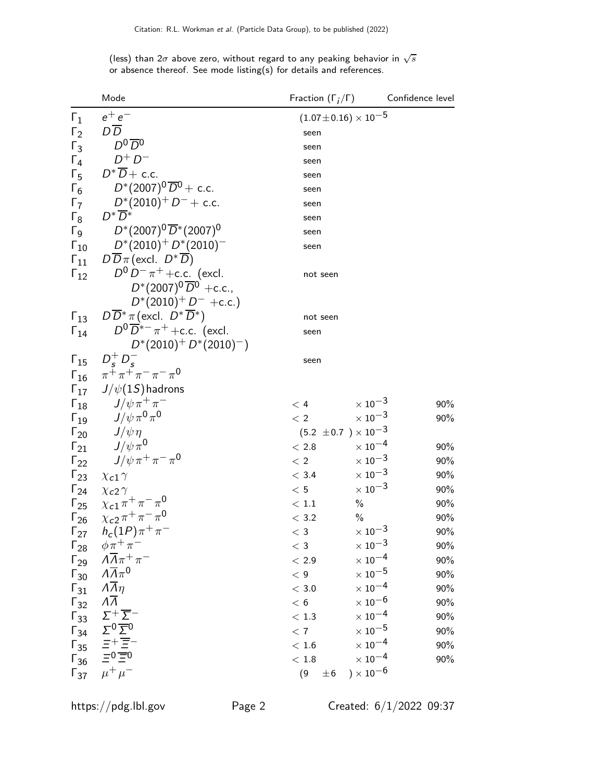(less) than 2 $\sigma$  above zero, without regard to any peaking behavior in  $\sqrt{s}$ or absence thereof. See mode listing(s) for details and references.

|                        | Mode                                                                                                 | Fraction $(\Gamma_i/\Gamma)$ Confidence level |                                  |     |
|------------------------|------------------------------------------------------------------------------------------------------|-----------------------------------------------|----------------------------------|-----|
| $\Gamma_1$             | $e^+e^-$                                                                                             |                                               | $(1.07\!\pm\!0.16)\times10^{-5}$ |     |
| $\Gamma_2$             | $D\overline{D}$                                                                                      | seen                                          |                                  |     |
| $\Gamma_3$             | $D^0\overline{D}{}^0$                                                                                | seen                                          |                                  |     |
| $\Gamma_4$             | $D^+D^-$                                                                                             | seen                                          |                                  |     |
| $\Gamma_5$             | $D^*\overline{D}$ + c.c.                                                                             | seen                                          |                                  |     |
| $\Gamma_6$             | $D^*(2007)^0\overline{D}{}^0 +$ c.c.                                                                 | seen                                          |                                  |     |
| $\Gamma_7$             | $D^*(2010)^+$ $D^-+$ c.c.                                                                            | seen                                          |                                  |     |
| $\Gamma_8$             | $D^* D^*$                                                                                            | seen                                          |                                  |     |
|                        | $\Gamma_9$ $D^*(2007)^0 \overline{D}^*(2007)^0$                                                      | seen                                          |                                  |     |
| $\Gamma_{10}$          | $D^*(2010)^+$ $D^*(2010)^-$                                                                          | seen                                          |                                  |     |
| $\Gamma_{11}$          | $D\overline{D}\pi$ (excl. $D^*\overline{D}$ )                                                        |                                               |                                  |     |
| $\Gamma_{12}$          | $D^0 D^- \pi^+$ + c.c. (excl.                                                                        | not seen                                      |                                  |     |
|                        | $D^*(2007)^0 \overline{D}^0$ +c.c.,                                                                  |                                               |                                  |     |
|                        | $D^*(2010)^+ D^-$ +c.c.)                                                                             |                                               |                                  |     |
| $\Gamma_{13}$          | $D\overline{D}^*\pi$ (excl. $D^*\overline{D}^*$ )                                                    | not seen                                      |                                  |     |
| $\Gamma_{14}$          | $D^0\overline{D}^{*-}\pi^+$ +c.c. (excl.                                                             | seen                                          |                                  |     |
|                        | $D^*(2010)^+ D^*(2010)^-)$                                                                           |                                               |                                  |     |
|                        | $\Gamma_{15}$ $D_c^+ D_c^-$                                                                          | seen                                          |                                  |     |
|                        | $\Gamma_{16}$ $\pi^{\bar{+}} \pi^{\bar{+}} \pi^- \pi^- \pi^0$                                        |                                               |                                  |     |
|                        | $\Gamma_{17}$ J/ $\psi(15)$ hadrons                                                                  |                                               |                                  |     |
|                        |                                                                                                      | < 4                                           | $\times$ 10 <sup>-3</sup>        | 90% |
|                        | $\begin{array}{cc} \Gamma_{18} & J/\psi \pi^+ \pi^- \\ \Gamma_{19} & J/\psi \pi^0 \pi^0 \end{array}$ | < 2                                           | $\times$ 10 <sup>-3</sup>        | 90% |
|                        | $\Gamma_{20}$ $J/\psi \eta$                                                                          |                                               | $(5.2 \pm 0.7) \times 10^{-3}$   |     |
|                        | $\sqrt{1/21}$ $J/\psi \pi^0$                                                                         | $<\,2.8$                                      | $\times$ $10^{-4}$               | 90% |
|                        | $\Gamma_{22}$ $J/\psi \pi^+ \pi^- \pi^0$                                                             | < 2                                           | $\times\,10^{-3}$                | 90% |
| $\Gamma_{23}$          | $\chi$ <sub>c</sub> 1 $\gamma$                                                                       | < 3.4                                         | $\times$ 10 <sup>-3</sup>        | 90% |
| $\Gamma_{24}$          | $\chi$ <sub>C</sub> 2 $\gamma$                                                                       | $<\,5$                                        | $\times\,10^{-3}$                | 90% |
|                        | $\Gamma_{25}$ $\chi_{c1} \pi^{+} \pi^{-} \pi^{0}$                                                    | < 1.1                                         | $\frac{0}{0}$                    | 90% |
| $\Gamma_{26}$          | $\chi_{c2} \pi^+ \pi^- \pi^0$                                                                        | $<\,3.2$                                      | $\frac{0}{0}$                    | 90% |
|                        | $\Gamma_{27}$ $h_c(1P)\pi^+\pi^-$                                                                    | $<$ 3                                         | $\times$ 10 $^{-3}$              | 90% |
| $\Gamma_{28}$          | $\phi \pi^+ \pi^-$                                                                                   | $<$ 3                                         | $\times\,10^{-3}$                | 90% |
| $\Gamma_{29}$          | $\Lambda \overline{\Lambda} \pi^+ \pi^-$                                                             | $<\,2.9$                                      | $\times$ $10^{-4}$               | 90% |
| $\mathsf{\Gamma}_{30}$ | $\Lambda \overline{\Lambda} \pi^0$                                                                   | < 9                                           | $\times$ $10^{-5}$               | 90% |
| $\Gamma_{31}$          | $\Lambda \overline{\Lambda} \eta$                                                                    | $<\,3.0$                                      | $\times$ $10^{-4}$               | 90% |
| $\Gamma_{32}$          | $\overline{\Lambda}$                                                                                 | < 6                                           | $\times$ $10^{-6}$               | 90% |
| $\Gamma_{33}$          | $\Sigma^+\overline{\Sigma}^-$                                                                        | $<\,1.3$                                      | $\times$ 10 <sup>-4</sup>        | 90% |
| $\Gamma_{34}$          | $\frac{\Sigma^0 \overline{\Sigma^0}}{\Xi^+ \overline{\Xi}^-}$                                        | < 7                                           | $\times$ $10^{-5}$               | 90% |
| $\mathsf{\Gamma}_{35}$ |                                                                                                      | $<\,1.6$                                      | $\times$ $10^{-4}$               | 90% |
| $\Gamma_{36}$          | $\equiv 0 \equiv 0$                                                                                  | $<\,1.8$                                      | $\times$ $10^{-4}$               | 90% |
| $\Gamma_{37}$          | $\mu^+ \mu^-$                                                                                        | (9)<br>$\pm 6$                                | ) $\times$ $10^{-6}$             |     |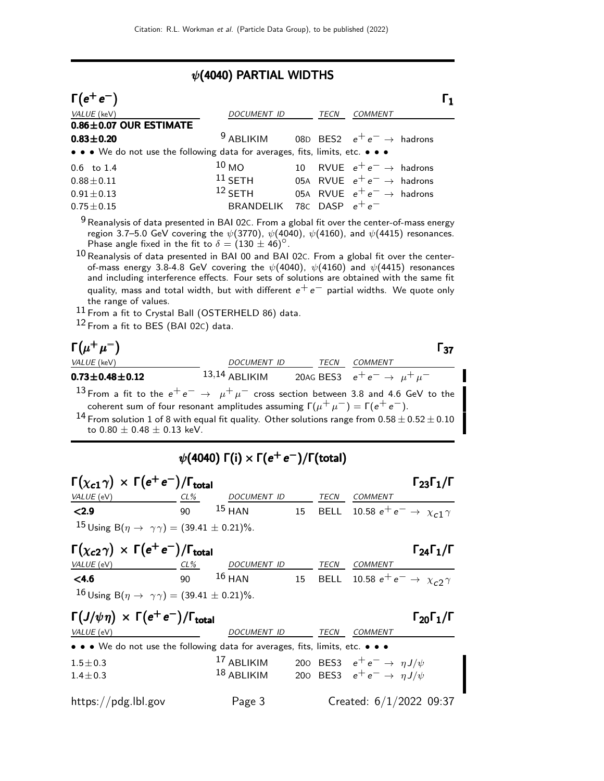## $\psi$ (4040) PARTIAL WIDTHS

| $\Gamma(e^+e^-)$                                                              |                                                            |      |                                       | $\Gamma_1$ |
|-------------------------------------------------------------------------------|------------------------------------------------------------|------|---------------------------------------|------------|
| VALUE (keV)                                                                   | DOCUMENT ID                                                | TECN | <i>COMMENT</i>                        |            |
| $0.86 \pm 0.07$ OUR ESTIMATE                                                  |                                                            |      |                                       |            |
| $0.83 \pm 0.20$                                                               | <sup>9</sup> ABLIKIM 08D BES2 $e^+e^- \rightarrow$ hadrons |      |                                       |            |
| • • • We do not use the following data for averages, fits, limits, etc. • • • |                                                            |      |                                       |            |
| $0.6$ to $1.4$                                                                | 10 <sub>MO</sub>                                           |      | 10 RVUE $e^+e^- \rightarrow$ hadrons  |            |
| $0.88 \pm 0.11$                                                               | $11$ SETH                                                  |      | 05A RVUE $e^+e^- \rightarrow$ hadrons |            |
| $0.91 \pm 0.13$                                                               | $12$ SETH                                                  |      | 05A RVUE $e^+e^- \rightarrow$ hadrons |            |
| $0.75 \pm 0.15$                                                               | BRANDELIK 78C DASP $e^+e^-$                                |      |                                       |            |
|                                                                               |                                                            |      |                                       |            |

 $9$  Reanalysis of data presented in BAI 02C. From a global fit over the center-of-mass energy region 3.7–5.0 GeV covering the  $\psi(3770)$ ,  $\psi(4040)$ ,  $\psi(4160)$ , and  $\psi(4415)$  resonances. Phase angle fixed in the fit to  $\delta = (130 \pm 46)^{\circ}$ .

 $^{10}\rm\,R$ eanalysis of data presented in BAI 00 and BAI 02C. From a global fit over the centerof-mass energy 3.8-4.8 GeV covering the  $\psi(4040)$ ,  $\psi(4160)$  and  $\psi(4415)$  resonances and including interference effects. Four sets of solutions are obtained with the same fit quality, mass and total width, but with different  $e^+e^-$  partial widths. We quote only the range of values.

11 From a fit to Crystal Ball (OSTERHELD 86) data.

12 From a fit to BES (BAI 02C) data.

| $\Gamma(\mu^+\mu^-)$                                                                                                                                                                                                                                                                                                                                   |                 |      | l 37                                      |
|--------------------------------------------------------------------------------------------------------------------------------------------------------------------------------------------------------------------------------------------------------------------------------------------------------------------------------------------------------|-----------------|------|-------------------------------------------|
| VALUE (keV)                                                                                                                                                                                                                                                                                                                                            | DOCUMENT ID     | TECN | COMMENT                                   |
| $0.73 \pm 0.48 \pm 0.12$                                                                                                                                                                                                                                                                                                                               | $13,14$ ABLIKIM |      | 20AG BES3 $e^+e^- \rightarrow \mu^+\mu^-$ |
| 13 From a fit to the $e^+e^- \rightarrow \mu^+\mu^-$ cross section between 3.8 and 4.6 GeV to the<br>coherent sum of four resonant amplitudes assuming $\Gamma(\mu^+ \mu^-) = \Gamma(e^+ e^-)$ .<br><sup>14</sup> From solution 1 of 8 with equal fit quality. Other solutions range from $0.58 \pm 0.52 \pm 0.10$<br>to $0.80 \pm 0.48 \pm 0.13$ keV. |                 |      |                                           |

## $\psi($ 4040) Γ(i)  $\times$  Γ( $e^+$   $e^-)$ /Γ(total)

| $\Gamma(\chi_{c1}\gamma) \times \Gamma(e^+e^-)/\Gamma_{\text{total}}$ |        |             |             | $\Gamma_{23}\Gamma_1/\Gamma$                        |
|-----------------------------------------------------------------------|--------|-------------|-------------|-----------------------------------------------------|
| <i>VALUE</i> (eV)                                                     | $CL\%$ | DOCUMENT ID | <b>TECN</b> | <i>COMMENT</i>                                      |
| <2.9                                                                  | ۹N     | $15$ HAN    |             | 15 BELL 10.58 $e^+e^- \rightarrow \chi_{c1} \gamma$ |
| $15 \text{ Using } B(\eta \to \gamma \gamma) = (39.41 \pm 0.21)\%$ .  |        |             |             |                                                     |

| $\Gamma(\chi_{c2}\gamma) \times \Gamma(e^+e^-)/\Gamma_{\text{total}}$ |              |             |      | $\Gamma_{24}\Gamma_1/\Gamma$                |
|-----------------------------------------------------------------------|--------------|-------------|------|---------------------------------------------|
| <i>VALUE</i> (eV)                                                     | CL%          | DOCUMENT ID | TECN | COMMENT                                     |
| < 4.6                                                                 | $90^{\circ}$ | $16$ HAN    |      | 15 BELL 10.58 $e^+e^- \to \chi_{c2} \gamma$ |
| 16 Using B( $\eta \to \gamma \gamma$ ) = (39.41 ± 0.21)%.             |              |             |      |                                             |

| $\Gamma(J/\psi \eta) \times \Gamma(e^+e^-)/\Gamma_{\text{total}}$                                                     |                    |      |                                           | $\Gamma_{20}\Gamma_1/\Gamma$ |
|-----------------------------------------------------------------------------------------------------------------------|--------------------|------|-------------------------------------------|------------------------------|
| VALUE (eV)                                                                                                            | <b>DOCUMENT ID</b> | TECN | <b>COMMENT</b>                            |                              |
| $\bullet \bullet \bullet$ We do not use the following data for averages, fits, limits, etc. $\bullet \bullet \bullet$ |                    |      |                                           |                              |
| $1.5 \pm 0.3$                                                                                                         | $17$ ABLIKIM       |      | 200 BES3 $e^+e^- \rightarrow \eta J/\psi$ |                              |
| $1.4 \pm 0.3$                                                                                                         | $18$ ABLIKIM       |      | 200 BES3 $e^+e^- \rightarrow \eta J/\psi$ |                              |
| https://pdg.lbl.gov                                                                                                   | Page 3             |      |                                           | Created: 6/1/2022 09:37      |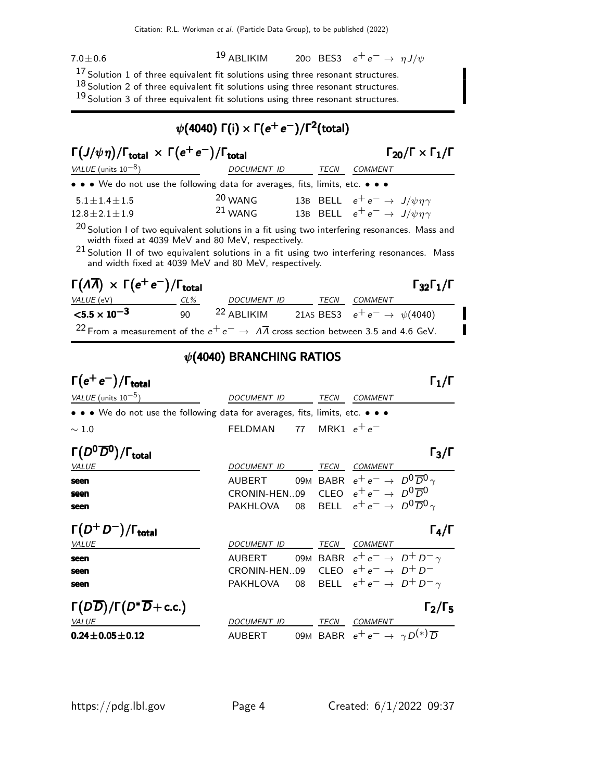$7.0 \pm 0.6$ 

19 ABLIKIM 200 BES3  $e^+e^- \rightarrow \eta J/\psi$ 

17 Solution 1 of three equivalent fit solutions using three resonant structures.

 $18$  Solution 2 of three equivalent fit solutions using three resonant structures.

 $19$  Solution 3 of three equivalent fit solutions using three resonant structures.

# $\psi($ 4040) Γ(i)  $\times$  Γ $(e^+e^-)/$ Γ $^2$ (total)

| $\Gamma(J/\psi \eta)/\Gamma_{\text{total}} \times \Gamma(e^+e^-)/\Gamma_{\text{total}}$ |             |  | $\Gamma_{20}/\Gamma \times \Gamma_1/\Gamma$ |                                                  |
|-----------------------------------------------------------------------------------------|-------------|--|---------------------------------------------|--------------------------------------------------|
| VALUE (units $10^{-8}$ )                                                                | DOCUMENT ID |  | TECN                                        | COMMENT                                          |
| • • • We do not use the following data for averages, fits, limits, etc. • • •           |             |  |                                             |                                                  |
| $5.1 \pm 1.4 \pm 1.5$                                                                   | $20$ WANG   |  |                                             | 13B BELL $e^+e^- \rightarrow J/\psi \eta \gamma$ |
| $12.8 \pm 2.1 \pm 1.9$                                                                  | $21$ WANG   |  |                                             | 13B BELL $e^+e^- \rightarrow J/\psi \eta \gamma$ |

 $20$  Solution I of two equivalent solutions in a fit using two interfering resonances. Mass and width fixed at 4039 MeV and 80 MeV, respectively.

 $^{21}$  Solution II of two equivalent solutions in a fit using two interfering resonances. Mass and width fixed at 4039 MeV and 80 MeV, respectively.

| $\Gamma(\Lambda \overline{\Lambda}) \times \Gamma(e^+e^-)/\Gamma_{\text{total}}$                                 |        |                                                                 |      |         | $\Gamma_{32}\Gamma_1/\Gamma$ |
|------------------------------------------------------------------------------------------------------------------|--------|-----------------------------------------------------------------|------|---------|------------------------------|
| <i>VALUE</i> (eV)                                                                                                | $CL\%$ | DOCUMENT ID                                                     | TECN | COMMENT |                              |
| $<$ 5.5 $\times$ 10 <sup>-3</sup>                                                                                | $90 -$ | <sup>22</sup> ABLIKIM 21AS BES3 $e^+e^- \rightarrow \psi(4040)$ |      |         |                              |
| <sup>22</sup> From a measurement of the $e^+e^- \rightarrow \overline{A}$ cross section between 3.5 and 4.6 GeV. |        |                                                                 |      |         |                              |

## $\psi$ (4040) BRANCHING RATIOS

## $\Gamma(e^+e^-)/\Gamma_{\text{total}}$  Γ<sub>1</sub>/Γ VALUE (units 10<sup>-5</sup>) DOCUMENT ID TECN COMMENT • • • We do not use the following data for averages, fits, limits, etc. • • •  $\sim 1.0$  FELDMAN 77 MRK1  $e^+e^-$ Γ $(D^0\overline{D}^0)/\Gamma_{\text{total}}$  Γ $_3/\Gamma$ VALUE DOCUMENT ID TECN COMMENT **seen** AUBERT 09M BABR  $e^+e^- \rightarrow D^0\overline{D}^0 \gamma$ <br>**seen** CRONIN-HEN…09 CLEO  $e^+e^- \rightarrow D^0\overline{D}^0$ **seen** CRONIN-HEN..09 CLEO  $e^+e^-$  →  $D^0\overline{D}^0$ <br>**seen** PAKHLOVA 08 BELL  $e^+e^-$  →  $D^0\overline{D}^0$ BELL  $e^+e^- \rightarrow D^0\overline{D}^0 \gamma$  $\Gamma(D^+D^-)/\Gamma_{\rm total}$  Γ<sub>4</sub>/Γ total and the contract of the contract of  $\mathsf{I}\hspace{.04cm}4/\mathsf{I}$ VALUE **ALUE COMMENT ID DOCUMENT ID TECN COMMENT** seen AUBERT 09M BABR  $e^+e^- \rightarrow D^+D^-\gamma$

| seen<br>seen                                         | CRONIN-HEN09 CLEO $e^+e^- \rightarrow D^+D^-$<br>PAKHLOVA 08 BELL $e^+e^- \rightarrow D^+D^-\gamma$ |      |                                                          |                     |
|------------------------------------------------------|-----------------------------------------------------------------------------------------------------|------|----------------------------------------------------------|---------------------|
| $\Gamma(D\overline{D})/\Gamma(D^*\overline{D}+c.c.)$ |                                                                                                     |      |                                                          | $\Gamma_2/\Gamma_5$ |
| <i>VALUE</i>                                         | <b>DOCUMENT ID</b>                                                                                  | TECN | COMMENT                                                  |                     |
| $0.24 \pm 0.05 \pm 0.12$                             | AUBERT                                                                                              |      | 09M BABR $e^+e^- \rightarrow \gamma D^{(*)}\overline{D}$ |                     |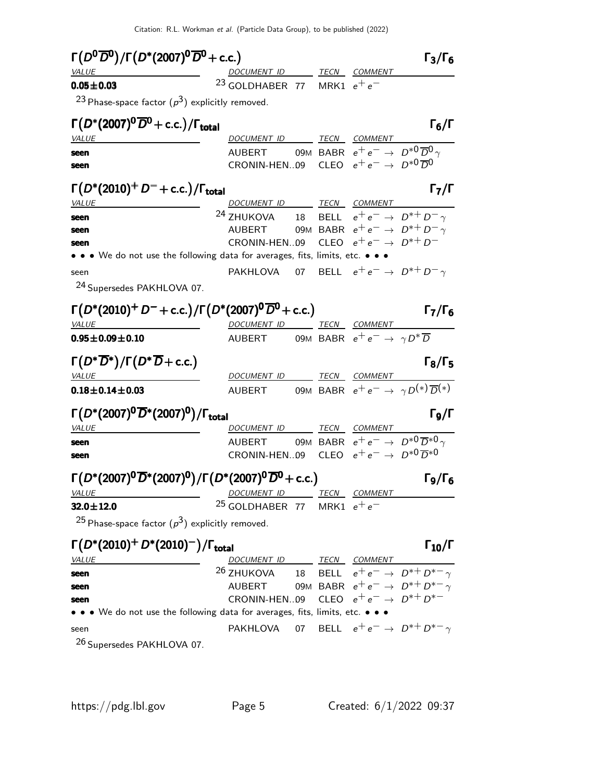| $\Gamma(D^0\overline{D}^0)/\Gamma(D^*(2007)^0\overline{D}^0+{\rm c.c.})$                 |                                                                       |  |                                                       | $\Gamma_3/\Gamma_6$                                          |
|------------------------------------------------------------------------------------------|-----------------------------------------------------------------------|--|-------------------------------------------------------|--------------------------------------------------------------|
| <i>VALUE</i>                                                                             | DOCUMENT ID TECN COMMENT                                              |  |                                                       |                                                              |
| $0.05 \pm 0.03$                                                                          | <sup>23</sup> GOLDHABER 77 MRK1 $e^+e^-$                              |  |                                                       |                                                              |
| <sup>23</sup> Phase-space factor $(p^3)$ explicitly removed.                             |                                                                       |  |                                                       |                                                              |
| $\Gamma(D^*(2007)^0\overline{D}^0 + c.c.)/\Gamma_{\rm total}$                            |                                                                       |  |                                                       | $\mathsf{\Gamma}_6/\mathsf{\Gamma}$                          |
| <i>VALUE</i>                                                                             | DOCUMENT ID TECN COMMENT                                              |  |                                                       |                                                              |
| seen                                                                                     | <b>AUBERT</b>                                                         |  | 09M BABR $e^+e^- \rightarrow D^{*0}\overline{D}0$     |                                                              |
| seen                                                                                     | CRONIN-HEN09 CLEO $e^+e^- \rightarrow D^{*0}\overline{D}^0$           |  |                                                       |                                                              |
| $\Gamma(D^*(2010)^+D^-+c.c.)/\Gamma_{\text{total}}$                                      |                                                                       |  |                                                       | $\Gamma_7/\Gamma$                                            |
| <i>VALUE</i>                                                                             | DOCUMENT ID TECN COMMENT                                              |  |                                                       |                                                              |
| seen                                                                                     | <sup>24</sup> ZHUKOVA 18 BELL $e^+e^- \rightarrow D^{*+}D^- \gamma$   |  |                                                       |                                                              |
| seen                                                                                     | AUBERT 09M BABR $e^+e^- \rightarrow D^{*+}D^- \gamma$                 |  |                                                       |                                                              |
| seen                                                                                     | CRONIN-HEN09 CLEO $e^+e^- \rightarrow D^{*+}D^-$                      |  |                                                       |                                                              |
| • • • We do not use the following data for averages, fits, limits, etc. • • •            |                                                                       |  |                                                       |                                                              |
| seen                                                                                     | PAKHLOVA 07 BELL $e^+e^- \rightarrow D^{*+}D^- \gamma$                |  |                                                       |                                                              |
| <sup>24</sup> Supersedes PAKHLOVA 07.                                                    |                                                                       |  |                                                       |                                                              |
| $\Gamma(D^*(2010)^+D^-+c.c.)/\Gamma(D^*(2007)^0\overline{D}^0+c.c.)$                     |                                                                       |  |                                                       | $\Gamma_7/\Gamma_6$                                          |
| <i>VALUE</i>                                                                             | DOCUMENT ID TECN COMMENT                                              |  |                                                       |                                                              |
| $0.95 \pm 0.09 \pm 0.10$                                                                 | AUBERT                                                                |  | 09M BABR $e^+e^- \rightarrow \gamma D^* \overline{D}$ |                                                              |
| $\Gamma(D^*\overline{D}{}^*)/\Gamma(D^*\overline{D}{}+c.c.)$                             |                                                                       |  |                                                       | $\Gamma_8/\Gamma_5$                                          |
| <i>VALUE</i>                                                                             | DOCUMENT ID TECN COMMENT                                              |  |                                                       |                                                              |
| $0.18 \pm 0.14 \pm 0.03$                                                                 | AUBERT 09M BABR $e^+e^- \rightarrow \gamma D^{(*)}\overline{D}^{(*)}$ |  |                                                       |                                                              |
| $\Gamma(D^*(2007)^0\overline{D}^*(2007)^0)/\Gamma_{\rm total}$                           |                                                                       |  |                                                       | $\Gamma_9/\Gamma$                                            |
| <i>VALUE</i>                                                                             | DOCUMENT ID TECN COMMENT                                              |  |                                                       |                                                              |
| seen                                                                                     | <b>AUBERT</b>                                                         |  |                                                       | 09M BABR $e^+e^- \rightarrow D^{*0}\overline{D}^{*0} \gamma$ |
| seen                                                                                     | CRONIN-HEN09 CLEO $e^+e^- \rightarrow D^{*0}\overline{D}^{*0}$        |  |                                                       |                                                              |
| $\Gamma(D^*(2007)^0\overline{D}^*(2007)^0)/\Gamma(D^*(2007)^0\overline{D}^0+{\rm c.c.})$ |                                                                       |  |                                                       | $\Gamma$ д/ $\Gamma$ б                                       |
| <i>VALUE</i>                                                                             | <u>DOCUMENTID IECN COMMENT</u>                                        |  |                                                       |                                                              |
| $32.0 \pm 12.0$                                                                          | <sup>25</sup> GOLDHABER 77 MRK1 $e^+e^-$                              |  |                                                       |                                                              |
| <sup>25</sup> Phase-space factor $(p^3)$ explicitly removed.                             |                                                                       |  |                                                       |                                                              |
| $\Gamma(D^*(2010)^+ D^*(2010)^-) / \Gamma_{\text{total}}$                                |                                                                       |  |                                                       | $\Gamma_{10}/\Gamma$                                         |
| <i>VALUE</i>                                                                             | DOCUMENT ID TECN COMMENT                                              |  |                                                       |                                                              |
| seen                                                                                     | <sup>26</sup> ZHUKOVA 18 BELL $e^+e^- \rightarrow D^{*+}D^{*-}\gamma$ |  |                                                       |                                                              |
| seen                                                                                     | AUBERT 09M BABR $e^+e^- \rightarrow D^{*+}D^{*-}\gamma$               |  |                                                       |                                                              |
| seen                                                                                     | CRONIN-HEN09 CLEO $e^+e^- \rightarrow D^{*+}D^{*-}$                   |  |                                                       |                                                              |
|                                                                                          |                                                                       |  |                                                       |                                                              |

• • • We do not use the following data for averages, fits, limits, etc. • • • seen PAKHLOVA 07 BELL  $e^+e^- \rightarrow D^{*+}D^{*-}\gamma$ 

26 Supersedes PAKHLOVA 07.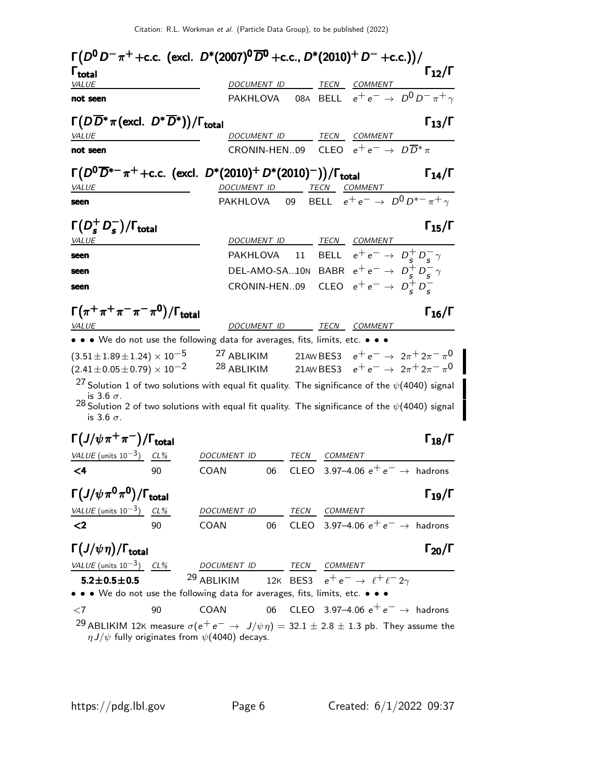| $\Gamma_{12}/\Gamma$<br>$\mathsf{\Gamma}_{\mathsf{total}}$<br>VALUE<br><b>DOCUMENT ID</b><br>TECN<br>COMMENT<br>PAKHLOVA 08A BELL $e^+e^- \rightarrow D^0 D^- \pi^+ \gamma$<br>not seen<br>$\Gamma(D\overline{D}^*\pi(\text{excl. } D^*\overline{D}^*))/\Gamma_{\text{total}}$<br>$\Gamma_{13}/\Gamma$<br>TECN COMMENT<br>DOCUMENT ID<br>VALUE<br>CRONIN-HEN09 CLEO $e^+e^- \rightarrow D\overline{D}^*\pi$<br>not seen<br>$\Gamma(D^0\overline{D}^{*-}\pi^+ + \text{c.c.}$ (excl. $D^*(2010)^+ D^*(2010)^-)/\Gamma_{\text{total}}$<br>$\Gamma_{14}/\Gamma$<br><u>DOCUMENT ID</u> TECN COMMENT<br>PAKHLOVA 09 BELL $e^+e^- \rightarrow D^0 D^{*-} \pi^+ \gamma$<br><b>VALUE</b><br>seen<br>$\Gamma(D_s^+D_s^-)/\Gamma_{\rm total}$<br>$\Gamma_{15}/\Gamma$<br>TECN COMMENT<br>DOCUMENT ID<br><i>VALUE</i><br>11 BELL $e^+e^- \rightarrow D_c^+D_c^- \gamma$<br>PAKHLOVA<br>seen<br>DEL-AMO-SA10N BABR $e^+e^- \rightarrow D_s^+D_s^- \gamma$<br>seen<br>CLEO $e^+e^- \rightarrow D_s^+D_s^-$<br>CRONIN-HEN09<br>seen<br>$\Gamma(\pi^+\pi^+\pi^-\pi^-\pi^0)/\Gamma_{\rm total}$<br>$\Gamma_{16}/\Gamma$<br>DOCUMENT ID TECN COMMENT<br><b>VALUE</b><br>• • • We do not use the following data for averages, fits, limits, etc. • • •<br>$(3.51 \pm 1.89 \pm 1.24) \times 10^{-5}$<br><sup>27</sup> ABLIKIM 21AW BES3 $e^+e^- \rightarrow 2\pi^+ 2\pi^- \pi^0$<br>$^{28}$ ABLIKIM<br>$(2.41 \pm 0.05 \pm 0.79) \times 10^{-2}$<br>21AW BES3 $e^+e^- \rightarrow 2\pi^+2\pi^-\pi^0$<br><sup>27</sup> Solution 1 of two solutions with equal fit quality. The significance of the $\psi$ (4040) signal<br>is 3.6 $\sigma$ .<br>28 Solution 2 of two solutions with equal fit quality. The significance of the $\psi$ (4040) signal<br>is 3.6 $\sigma$ .<br>$\Gamma(J/\psi\pi^+\pi^-)/\Gamma_{\rm total}$<br>$\Gamma_{18}/\Gamma$<br>VALUE (units $10^{-3}$ ) CL%<br>DOCUMENT ID<br>TECN COMMENT<br>CLEO 3.97-4.06 $e^+e^- \rightarrow$ hadrons<br>$\leq 4$<br>COAN<br>06<br>90<br>$\Gamma\big(J/\psi\,\pi^0\pi^0\big)/\Gamma_{\rm total}$<br>$\Gamma_{19}/\Gamma$<br>VALUE (units $10^{-3}$ ) CL%<br>DOCUMENT ID<br>TECN COMMENT<br>06 CLEO 3.97-4.06 $e^+e^- \rightarrow$ hadrons<br>$2$<br>90<br>COAN<br>$\Gamma(J/\psi\eta)/\Gamma_{\rm total}$<br>$\Gamma_{20}/\Gamma$<br>VALUE (units $10^{-3}$ ) CL%<br>TECN COMMENT<br>DOCUMENT ID<br><sup>29</sup> ABLIKIM 12K BES3 $e^+e^- \rightarrow \ell^+\ell^-2\gamma$<br>$5.2 \pm 0.5 \pm 0.5$<br>• • We do not use the following data for averages, fits, limits, etc. • • •<br>CLEO 3.97–4.06 $e^+e^- \rightarrow$ hadrons<br>COAN<br>06<br>90<br>${<}7$<br><sup>29</sup> ABLIKIM 12K measure $\sigma(e^+e^- \rightarrow J/\psi \eta) = 32.1 \pm 2.8 \pm 1.3$ pb. They assume the | $\Gamma(D^0 D^-\pi^+ + \text{c.c.}$ (excl. $D^*(2007)^0 \overline{D}^0$ + c.c., $D^*(2010)^+ D^-$ + c.c.))/ |  |  |  |  |
|--------------------------------------------------------------------------------------------------------------------------------------------------------------------------------------------------------------------------------------------------------------------------------------------------------------------------------------------------------------------------------------------------------------------------------------------------------------------------------------------------------------------------------------------------------------------------------------------------------------------------------------------------------------------------------------------------------------------------------------------------------------------------------------------------------------------------------------------------------------------------------------------------------------------------------------------------------------------------------------------------------------------------------------------------------------------------------------------------------------------------------------------------------------------------------------------------------------------------------------------------------------------------------------------------------------------------------------------------------------------------------------------------------------------------------------------------------------------------------------------------------------------------------------------------------------------------------------------------------------------------------------------------------------------------------------------------------------------------------------------------------------------------------------------------------------------------------------------------------------------------------------------------------------------------------------------------------------------------------------------------------------------------------------------------------------------------------------------------------------------------------------------------------------------------------------------------------------------------------------------------------------------------------------------------------------------------------------------------------------------------------------------------------------------------------------------------------------------------------------------------------------------------------------------------------------------------------------------------------------------------------------------------------------------------------------------------------------------------------|-------------------------------------------------------------------------------------------------------------|--|--|--|--|
|                                                                                                                                                                                                                                                                                                                                                                                                                                                                                                                                                                                                                                                                                                                                                                                                                                                                                                                                                                                                                                                                                                                                                                                                                                                                                                                                                                                                                                                                                                                                                                                                                                                                                                                                                                                                                                                                                                                                                                                                                                                                                                                                                                                                                                                                                                                                                                                                                                                                                                                                                                                                                                                                                                                                |                                                                                                             |  |  |  |  |
|                                                                                                                                                                                                                                                                                                                                                                                                                                                                                                                                                                                                                                                                                                                                                                                                                                                                                                                                                                                                                                                                                                                                                                                                                                                                                                                                                                                                                                                                                                                                                                                                                                                                                                                                                                                                                                                                                                                                                                                                                                                                                                                                                                                                                                                                                                                                                                                                                                                                                                                                                                                                                                                                                                                                |                                                                                                             |  |  |  |  |
|                                                                                                                                                                                                                                                                                                                                                                                                                                                                                                                                                                                                                                                                                                                                                                                                                                                                                                                                                                                                                                                                                                                                                                                                                                                                                                                                                                                                                                                                                                                                                                                                                                                                                                                                                                                                                                                                                                                                                                                                                                                                                                                                                                                                                                                                                                                                                                                                                                                                                                                                                                                                                                                                                                                                |                                                                                                             |  |  |  |  |
|                                                                                                                                                                                                                                                                                                                                                                                                                                                                                                                                                                                                                                                                                                                                                                                                                                                                                                                                                                                                                                                                                                                                                                                                                                                                                                                                                                                                                                                                                                                                                                                                                                                                                                                                                                                                                                                                                                                                                                                                                                                                                                                                                                                                                                                                                                                                                                                                                                                                                                                                                                                                                                                                                                                                |                                                                                                             |  |  |  |  |
|                                                                                                                                                                                                                                                                                                                                                                                                                                                                                                                                                                                                                                                                                                                                                                                                                                                                                                                                                                                                                                                                                                                                                                                                                                                                                                                                                                                                                                                                                                                                                                                                                                                                                                                                                                                                                                                                                                                                                                                                                                                                                                                                                                                                                                                                                                                                                                                                                                                                                                                                                                                                                                                                                                                                |                                                                                                             |  |  |  |  |
|                                                                                                                                                                                                                                                                                                                                                                                                                                                                                                                                                                                                                                                                                                                                                                                                                                                                                                                                                                                                                                                                                                                                                                                                                                                                                                                                                                                                                                                                                                                                                                                                                                                                                                                                                                                                                                                                                                                                                                                                                                                                                                                                                                                                                                                                                                                                                                                                                                                                                                                                                                                                                                                                                                                                |                                                                                                             |  |  |  |  |
|                                                                                                                                                                                                                                                                                                                                                                                                                                                                                                                                                                                                                                                                                                                                                                                                                                                                                                                                                                                                                                                                                                                                                                                                                                                                                                                                                                                                                                                                                                                                                                                                                                                                                                                                                                                                                                                                                                                                                                                                                                                                                                                                                                                                                                                                                                                                                                                                                                                                                                                                                                                                                                                                                                                                |                                                                                                             |  |  |  |  |
|                                                                                                                                                                                                                                                                                                                                                                                                                                                                                                                                                                                                                                                                                                                                                                                                                                                                                                                                                                                                                                                                                                                                                                                                                                                                                                                                                                                                                                                                                                                                                                                                                                                                                                                                                                                                                                                                                                                                                                                                                                                                                                                                                                                                                                                                                                                                                                                                                                                                                                                                                                                                                                                                                                                                |                                                                                                             |  |  |  |  |
|                                                                                                                                                                                                                                                                                                                                                                                                                                                                                                                                                                                                                                                                                                                                                                                                                                                                                                                                                                                                                                                                                                                                                                                                                                                                                                                                                                                                                                                                                                                                                                                                                                                                                                                                                                                                                                                                                                                                                                                                                                                                                                                                                                                                                                                                                                                                                                                                                                                                                                                                                                                                                                                                                                                                |                                                                                                             |  |  |  |  |
|                                                                                                                                                                                                                                                                                                                                                                                                                                                                                                                                                                                                                                                                                                                                                                                                                                                                                                                                                                                                                                                                                                                                                                                                                                                                                                                                                                                                                                                                                                                                                                                                                                                                                                                                                                                                                                                                                                                                                                                                                                                                                                                                                                                                                                                                                                                                                                                                                                                                                                                                                                                                                                                                                                                                |                                                                                                             |  |  |  |  |
|                                                                                                                                                                                                                                                                                                                                                                                                                                                                                                                                                                                                                                                                                                                                                                                                                                                                                                                                                                                                                                                                                                                                                                                                                                                                                                                                                                                                                                                                                                                                                                                                                                                                                                                                                                                                                                                                                                                                                                                                                                                                                                                                                                                                                                                                                                                                                                                                                                                                                                                                                                                                                                                                                                                                |                                                                                                             |  |  |  |  |
|                                                                                                                                                                                                                                                                                                                                                                                                                                                                                                                                                                                                                                                                                                                                                                                                                                                                                                                                                                                                                                                                                                                                                                                                                                                                                                                                                                                                                                                                                                                                                                                                                                                                                                                                                                                                                                                                                                                                                                                                                                                                                                                                                                                                                                                                                                                                                                                                                                                                                                                                                                                                                                                                                                                                |                                                                                                             |  |  |  |  |
|                                                                                                                                                                                                                                                                                                                                                                                                                                                                                                                                                                                                                                                                                                                                                                                                                                                                                                                                                                                                                                                                                                                                                                                                                                                                                                                                                                                                                                                                                                                                                                                                                                                                                                                                                                                                                                                                                                                                                                                                                                                                                                                                                                                                                                                                                                                                                                                                                                                                                                                                                                                                                                                                                                                                |                                                                                                             |  |  |  |  |
|                                                                                                                                                                                                                                                                                                                                                                                                                                                                                                                                                                                                                                                                                                                                                                                                                                                                                                                                                                                                                                                                                                                                                                                                                                                                                                                                                                                                                                                                                                                                                                                                                                                                                                                                                                                                                                                                                                                                                                                                                                                                                                                                                                                                                                                                                                                                                                                                                                                                                                                                                                                                                                                                                                                                |                                                                                                             |  |  |  |  |
|                                                                                                                                                                                                                                                                                                                                                                                                                                                                                                                                                                                                                                                                                                                                                                                                                                                                                                                                                                                                                                                                                                                                                                                                                                                                                                                                                                                                                                                                                                                                                                                                                                                                                                                                                                                                                                                                                                                                                                                                                                                                                                                                                                                                                                                                                                                                                                                                                                                                                                                                                                                                                                                                                                                                |                                                                                                             |  |  |  |  |
|                                                                                                                                                                                                                                                                                                                                                                                                                                                                                                                                                                                                                                                                                                                                                                                                                                                                                                                                                                                                                                                                                                                                                                                                                                                                                                                                                                                                                                                                                                                                                                                                                                                                                                                                                                                                                                                                                                                                                                                                                                                                                                                                                                                                                                                                                                                                                                                                                                                                                                                                                                                                                                                                                                                                |                                                                                                             |  |  |  |  |
|                                                                                                                                                                                                                                                                                                                                                                                                                                                                                                                                                                                                                                                                                                                                                                                                                                                                                                                                                                                                                                                                                                                                                                                                                                                                                                                                                                                                                                                                                                                                                                                                                                                                                                                                                                                                                                                                                                                                                                                                                                                                                                                                                                                                                                                                                                                                                                                                                                                                                                                                                                                                                                                                                                                                |                                                                                                             |  |  |  |  |
|                                                                                                                                                                                                                                                                                                                                                                                                                                                                                                                                                                                                                                                                                                                                                                                                                                                                                                                                                                                                                                                                                                                                                                                                                                                                                                                                                                                                                                                                                                                                                                                                                                                                                                                                                                                                                                                                                                                                                                                                                                                                                                                                                                                                                                                                                                                                                                                                                                                                                                                                                                                                                                                                                                                                |                                                                                                             |  |  |  |  |
|                                                                                                                                                                                                                                                                                                                                                                                                                                                                                                                                                                                                                                                                                                                                                                                                                                                                                                                                                                                                                                                                                                                                                                                                                                                                                                                                                                                                                                                                                                                                                                                                                                                                                                                                                                                                                                                                                                                                                                                                                                                                                                                                                                                                                                                                                                                                                                                                                                                                                                                                                                                                                                                                                                                                |                                                                                                             |  |  |  |  |
|                                                                                                                                                                                                                                                                                                                                                                                                                                                                                                                                                                                                                                                                                                                                                                                                                                                                                                                                                                                                                                                                                                                                                                                                                                                                                                                                                                                                                                                                                                                                                                                                                                                                                                                                                                                                                                                                                                                                                                                                                                                                                                                                                                                                                                                                                                                                                                                                                                                                                                                                                                                                                                                                                                                                |                                                                                                             |  |  |  |  |
|                                                                                                                                                                                                                                                                                                                                                                                                                                                                                                                                                                                                                                                                                                                                                                                                                                                                                                                                                                                                                                                                                                                                                                                                                                                                                                                                                                                                                                                                                                                                                                                                                                                                                                                                                                                                                                                                                                                                                                                                                                                                                                                                                                                                                                                                                                                                                                                                                                                                                                                                                                                                                                                                                                                                |                                                                                                             |  |  |  |  |
|                                                                                                                                                                                                                                                                                                                                                                                                                                                                                                                                                                                                                                                                                                                                                                                                                                                                                                                                                                                                                                                                                                                                                                                                                                                                                                                                                                                                                                                                                                                                                                                                                                                                                                                                                                                                                                                                                                                                                                                                                                                                                                                                                                                                                                                                                                                                                                                                                                                                                                                                                                                                                                                                                                                                |                                                                                                             |  |  |  |  |
|                                                                                                                                                                                                                                                                                                                                                                                                                                                                                                                                                                                                                                                                                                                                                                                                                                                                                                                                                                                                                                                                                                                                                                                                                                                                                                                                                                                                                                                                                                                                                                                                                                                                                                                                                                                                                                                                                                                                                                                                                                                                                                                                                                                                                                                                                                                                                                                                                                                                                                                                                                                                                                                                                                                                |                                                                                                             |  |  |  |  |
|                                                                                                                                                                                                                                                                                                                                                                                                                                                                                                                                                                                                                                                                                                                                                                                                                                                                                                                                                                                                                                                                                                                                                                                                                                                                                                                                                                                                                                                                                                                                                                                                                                                                                                                                                                                                                                                                                                                                                                                                                                                                                                                                                                                                                                                                                                                                                                                                                                                                                                                                                                                                                                                                                                                                |                                                                                                             |  |  |  |  |
|                                                                                                                                                                                                                                                                                                                                                                                                                                                                                                                                                                                                                                                                                                                                                                                                                                                                                                                                                                                                                                                                                                                                                                                                                                                                                                                                                                                                                                                                                                                                                                                                                                                                                                                                                                                                                                                                                                                                                                                                                                                                                                                                                                                                                                                                                                                                                                                                                                                                                                                                                                                                                                                                                                                                |                                                                                                             |  |  |  |  |
|                                                                                                                                                                                                                                                                                                                                                                                                                                                                                                                                                                                                                                                                                                                                                                                                                                                                                                                                                                                                                                                                                                                                                                                                                                                                                                                                                                                                                                                                                                                                                                                                                                                                                                                                                                                                                                                                                                                                                                                                                                                                                                                                                                                                                                                                                                                                                                                                                                                                                                                                                                                                                                                                                                                                |                                                                                                             |  |  |  |  |
|                                                                                                                                                                                                                                                                                                                                                                                                                                                                                                                                                                                                                                                                                                                                                                                                                                                                                                                                                                                                                                                                                                                                                                                                                                                                                                                                                                                                                                                                                                                                                                                                                                                                                                                                                                                                                                                                                                                                                                                                                                                                                                                                                                                                                                                                                                                                                                                                                                                                                                                                                                                                                                                                                                                                |                                                                                                             |  |  |  |  |
|                                                                                                                                                                                                                                                                                                                                                                                                                                                                                                                                                                                                                                                                                                                                                                                                                                                                                                                                                                                                                                                                                                                                                                                                                                                                                                                                                                                                                                                                                                                                                                                                                                                                                                                                                                                                                                                                                                                                                                                                                                                                                                                                                                                                                                                                                                                                                                                                                                                                                                                                                                                                                                                                                                                                |                                                                                                             |  |  |  |  |
|                                                                                                                                                                                                                                                                                                                                                                                                                                                                                                                                                                                                                                                                                                                                                                                                                                                                                                                                                                                                                                                                                                                                                                                                                                                                                                                                                                                                                                                                                                                                                                                                                                                                                                                                                                                                                                                                                                                                                                                                                                                                                                                                                                                                                                                                                                                                                                                                                                                                                                                                                                                                                                                                                                                                |                                                                                                             |  |  |  |  |
|                                                                                                                                                                                                                                                                                                                                                                                                                                                                                                                                                                                                                                                                                                                                                                                                                                                                                                                                                                                                                                                                                                                                                                                                                                                                                                                                                                                                                                                                                                                                                                                                                                                                                                                                                                                                                                                                                                                                                                                                                                                                                                                                                                                                                                                                                                                                                                                                                                                                                                                                                                                                                                                                                                                                |                                                                                                             |  |  |  |  |
|                                                                                                                                                                                                                                                                                                                                                                                                                                                                                                                                                                                                                                                                                                                                                                                                                                                                                                                                                                                                                                                                                                                                                                                                                                                                                                                                                                                                                                                                                                                                                                                                                                                                                                                                                                                                                                                                                                                                                                                                                                                                                                                                                                                                                                                                                                                                                                                                                                                                                                                                                                                                                                                                                                                                |                                                                                                             |  |  |  |  |
|                                                                                                                                                                                                                                                                                                                                                                                                                                                                                                                                                                                                                                                                                                                                                                                                                                                                                                                                                                                                                                                                                                                                                                                                                                                                                                                                                                                                                                                                                                                                                                                                                                                                                                                                                                                                                                                                                                                                                                                                                                                                                                                                                                                                                                                                                                                                                                                                                                                                                                                                                                                                                                                                                                                                |                                                                                                             |  |  |  |  |
| $\eta J/\psi$ fully originates from $\psi$ (4040) decays.                                                                                                                                                                                                                                                                                                                                                                                                                                                                                                                                                                                                                                                                                                                                                                                                                                                                                                                                                                                                                                                                                                                                                                                                                                                                                                                                                                                                                                                                                                                                                                                                                                                                                                                                                                                                                                                                                                                                                                                                                                                                                                                                                                                                                                                                                                                                                                                                                                                                                                                                                                                                                                                                      |                                                                                                             |  |  |  |  |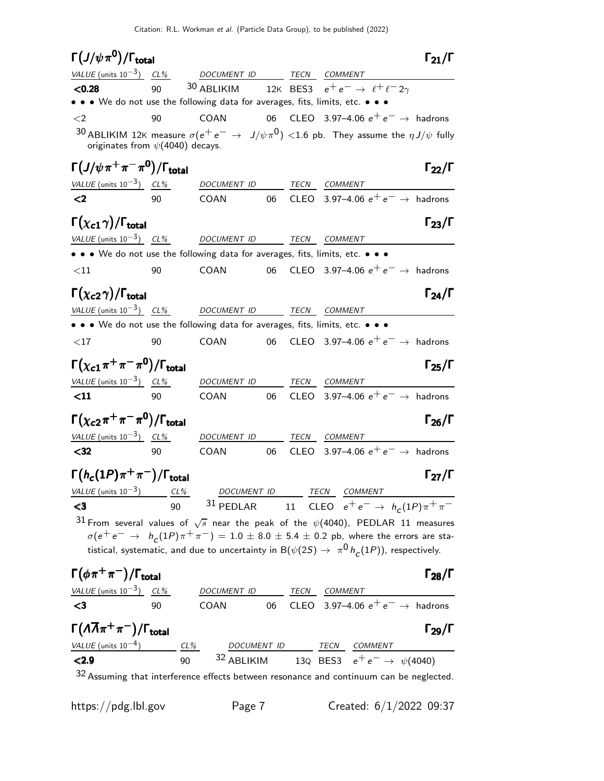| $\Gamma(J/\psi\pi^0)/\Gamma_{\rm total}$                                                |    |                          |    |      |                                                                                                                                                                                                                                                                                                   | $\Gamma_{21}/\Gamma$ |
|-----------------------------------------------------------------------------------------|----|--------------------------|----|------|---------------------------------------------------------------------------------------------------------------------------------------------------------------------------------------------------------------------------------------------------------------------------------------------------|----------------------|
| $VALUE$ (units $10^{-3}$ ) $CL%$ DOCUMENT ID TECN COMMENT                               |    |                          |    |      |                                                                                                                                                                                                                                                                                                   |                      |
| < 0.28<br>• • • We do not use the following data for averages, fits, limits, etc. • • • | 90 | 30 ABLIKIM               |    |      | 12K BES3 $e^+e^- \rightarrow \ell^+\ell^-2\gamma$                                                                                                                                                                                                                                                 |                      |
| $\leq$ 2                                                                                | 90 | COAN                     |    |      | 06 CLEO 3.97-4.06 $e^+e^- \rightarrow$ hadrons                                                                                                                                                                                                                                                    |                      |
| originates from $\psi(4040)$ decays.                                                    |    |                          |    |      | 30 ABLIKIM 12K measure $\sigma(e^+e^-\rightarrow J/\psi\pi^0)$ <1.6 pb. They assume the $\eta J/\psi$ fully                                                                                                                                                                                       |                      |
| $\Gamma\left(J/\psi\,\pi^+\,\pi^-\,\pi^0\right)/\Gamma_{\rm total}$                     |    |                          |    |      |                                                                                                                                                                                                                                                                                                   | $\Gamma_{22}/\Gamma$ |
| VALUE (units $10^{-3}$ ) CL%                                                            |    | DOCUMENT ID              |    | TECN | COMMENT                                                                                                                                                                                                                                                                                           |                      |
| $2$                                                                                     | 90 | COAN                     | 06 |      | CLEO 3.97-4.06 $e^+e^- \rightarrow$ hadrons                                                                                                                                                                                                                                                       |                      |
| $\Gamma(\chi_{c1}\gamma)/\Gamma_{\rm total}$                                            |    |                          |    |      |                                                                                                                                                                                                                                                                                                   | $\Gamma_{23}/\Gamma$ |
| VALUE (units $10^{-3}$ ) CL% DOCUMENT ID TECN COMMENT                                   |    |                          |    |      |                                                                                                                                                                                                                                                                                                   |                      |
| • • • We do not use the following data for averages, fits, limits, etc. • • •           |    |                          |    |      |                                                                                                                                                                                                                                                                                                   |                      |
| $<$ 11                                                                                  | 90 | COAN                     | 06 |      | CLEO 3.97-4.06 $e^+e^- \rightarrow$ hadrons                                                                                                                                                                                                                                                       |                      |
| $\Gamma(\chi_{c2}\gamma)/\Gamma_{\rm total}$                                            |    |                          |    |      |                                                                                                                                                                                                                                                                                                   | $\Gamma_{24}/\Gamma$ |
| VALUE (units $10^{-3}$ ) CL%                                                            |    | DOCUMENT ID              |    |      | TECN COMMENT                                                                                                                                                                                                                                                                                      |                      |
| • • • We do not use the following data for averages, fits, limits, etc. • • •           |    |                          |    |      |                                                                                                                                                                                                                                                                                                   |                      |
| $<$ 17                                                                                  | 90 | COAN                     | 06 |      | CLEO 3.97-4.06 $e^+e^- \rightarrow$ hadrons                                                                                                                                                                                                                                                       |                      |
| $\Gamma(\chi_{c1}\pi^+\pi^-\pi^0)/\Gamma_{\rm total}$                                   |    |                          |    |      |                                                                                                                                                                                                                                                                                                   | $\Gamma_{25}/\Gamma$ |
| VALUE (units $10^{-3}$ ) CL%                                                            |    | DOCUMENT ID TECN COMMENT |    |      |                                                                                                                                                                                                                                                                                                   |                      |
| $\leq 11$                                                                               | 90 | COAN                     | 06 |      | CLEO 3.97-4.06 $e^+e^- \rightarrow$ hadrons                                                                                                                                                                                                                                                       |                      |
| $\Gamma(\chi_{\bf c2}\pi^+\pi^-\pi^0)/\Gamma_{\bf total}$                               |    |                          |    |      |                                                                                                                                                                                                                                                                                                   | $\Gamma_{26}/\Gamma$ |
| VALUE (units $10^{-3}$ ) CL%                                                            |    | DOCUMENT ID              |    |      | TECN COMMENT                                                                                                                                                                                                                                                                                      |                      |
| $32$                                                                                    | 90 | COAN                     | 06 |      | CLEO 3.97-4.06 $e^+e^- \rightarrow$ hadrons                                                                                                                                                                                                                                                       |                      |
| $\Gamma(h_c(1P)\pi^+\pi^-)/\Gamma_{\rm total}$                                          |    |                          |    |      |                                                                                                                                                                                                                                                                                                   | $\Gamma_{27}/\Gamma$ |
|                                                                                         |    |                          |    |      |                                                                                                                                                                                                                                                                                                   |                      |
|                                                                                         |    |                          |    |      | $\frac{\textit{VALUE (units 10}^{-3})}{\text{C3}} \qquad \frac{\textit{CL\%}}{90} \qquad \frac{\textit{DOCUMENT ID}}{31 \text{ PEDLAR}} \qquad \frac{\textit{TECN}}{11} \qquad \frac{\textit{CEONMENT}}{\text{CLEO}} \qquad \frac{\textit{COMMENT}}{e^+e^-} \rightarrow \qquad h_c(1P)\pi^+\pi^-$ |                      |
|                                                                                         |    |                          |    |      | 31 From several values of $\sqrt{s}$ near the peak of the $\psi$ (4040), PEDLAR 11 measures<br>$\sigma(e^+e^-\to h_c(1P)\pi^+\pi^-)=1.0\pm 8.0\pm 5.4\pm 0.2$ pb, where the errors are sta-                                                                                                       |                      |
|                                                                                         |    |                          |    |      | tistical, systematic, and due to uncertainty in B $(\psi(2S) \rightarrow \pi^0 \, h_c(1P))$ , respectively.                                                                                                                                                                                       |                      |
| $\Gamma(\phi \pi^+ \pi^-)/\Gamma_{\rm total}$                                           |    |                          |    |      |                                                                                                                                                                                                                                                                                                   | $\Gamma_{28}/\Gamma$ |
| <u>VALUE</u> (units $10^{-3}$ ) CL%                                                     |    |                          |    |      | <u>DOCUMENT ID</u> TECN COMMENT<br>COAN 06 CLEO 3.97–4.06 $e^+e^- \rightarrow$ hadrons                                                                                                                                                                                                            |                      |
| $\leq$ 3                                                                                | 90 |                          |    |      |                                                                                                                                                                                                                                                                                                   |                      |
| $\Gamma(\Lambda\overline{\Lambda}\pi^+\pi^-)/\Gamma_{\rm total}$                        |    |                          |    |      |                                                                                                                                                                                                                                                                                                   | $\Gamma_{29}/\Gamma$ |
|                                                                                         |    |                          |    |      | $\frac{VALUE \text{ (units 10}^{-4})}{V=2.9}$ $\frac{CL\%}{90}$ $\frac{DOCUMENT ID}{32 \text{ ABLIKIM}}$ $\frac{TECN}{130}$ $\frac{COMMENT}{EES3}$ $e^+e^- \rightarrow \psi(4040)$                                                                                                                |                      |
|                                                                                         |    |                          |    |      |                                                                                                                                                                                                                                                                                                   |                      |
|                                                                                         |    |                          |    |      | $32$ Assuming that interference effects between resonance and continuum can be neglected.                                                                                                                                                                                                         |                      |

https://pdg.lbl.gov Page 7 Created: 6/1/2022 09:37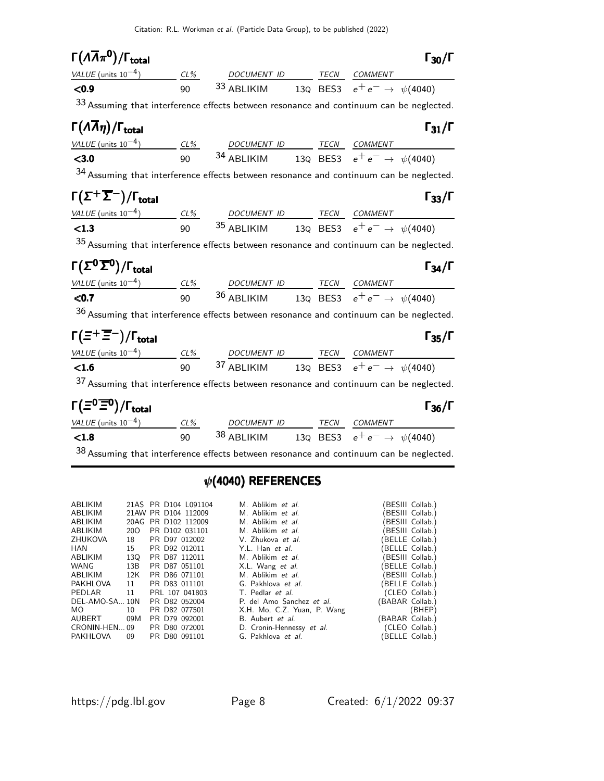| $\Gamma(\Lambda \overline{\Lambda} \pi^{\mathbf{0}})/\Gamma_{\text{total}}$                                                                                                         |  |  | $\Gamma_{30}/\Gamma$ |
|-------------------------------------------------------------------------------------------------------------------------------------------------------------------------------------|--|--|----------------------|
|                                                                                                                                                                                     |  |  |                      |
| VALUE (units $10^{-4}$ ) $\frac{CL\%}{90}$ $33 \frac{DOCUMENT ID}{ABLIKIM}$ $\frac{TECN}{13Q}$ $\frac{COMMENT}{BES3}$ $e^+e^- \rightarrow \psi(4040)$                               |  |  |                      |
| 33 Assuming that interference effects between resonance and continuum can be neglected.                                                                                             |  |  |                      |
| $\Gamma(\Lambda \overline{\Lambda}\eta)/\Gamma_{\rm total}$                                                                                                                         |  |  | $\Gamma_{31}/\Gamma$ |
| VALUE (units 10 <sup>-4</sup> ) $\frac{CL\%}{90}$ $\frac{DOCUMENT ID}{34 \text{ ABLIKIM}}$ $\frac{TECN}{13Q}$ $\frac{COMMENT}{BES3}$ $e^+e^- \rightarrow \psi(4040)$                |  |  |                      |
|                                                                                                                                                                                     |  |  |                      |
| 34 Assuming that interference effects between resonance and continuum can be neglected.                                                                                             |  |  |                      |
| $\Gamma(\Sigma^+\overline{\Sigma}^-)/\Gamma_{\rm total}$                                                                                                                            |  |  | $\Gamma_{33}/\Gamma$ |
| VALUE (units $10^{-4}$ ) $\frac{CL\%}{90}$ $35 \frac{DOCUMENT ID}{ABLIKIM}$ $\frac{TECN}{13Q}$ $\frac{COMMENT}{BES3}$ $e^+e^- \rightarrow \psi(4040)$                               |  |  |                      |
|                                                                                                                                                                                     |  |  |                      |
| 35 Assuming that interference effects between resonance and continuum can be neglected.                                                                                             |  |  |                      |
| $\Gamma(\Sigma^0\overline{\Sigma}{}^0)/\Gamma_{\rm total}$                                                                                                                          |  |  | $\Gamma_{34}/\Gamma$ |
| $\frac{VALUE \text{ (units 10}^{-4})}{500}$ $\frac{CL\%}{90}$ $\frac{DOCUMENT \text{ ID}}{36 \text{ ABLIKIM}}$ $\frac{TECN}{130}$ $\frac{COMMENT}{e^+e^-}$ $\rightarrow \psi(4040)$ |  |  |                      |
|                                                                                                                                                                                     |  |  |                      |
| $36$ Assuming that interference effects between resonance and continuum can be neglected.                                                                                           |  |  |                      |
| $\Gamma(\Xi^+\overline{\Xi}^-)/\Gamma_{\rm total}$                                                                                                                                  |  |  | $\Gamma_{35}/\Gamma$ |
|                                                                                                                                                                                     |  |  |                      |
| VALUE (units $10^{-4}$ ) $\frac{CL\%}{90}$ $37 \frac{DOCUMENT ID}{ABLIKIM}$ $\frac{TECN}{13Q}$ $\frac{COMMENT}{BES3}$ $e^+e^- \rightarrow \psi(4040)$                               |  |  |                      |
| 37 Assuming that interference effects between resonance and continuum can be neglected.                                                                                             |  |  |                      |
| $\Gamma(\Xi^0 \overline{\Xi}{}^0)/\Gamma_{\rm total}$                                                                                                                               |  |  | $\Gamma_{36}/\Gamma$ |
| VALUE (units $10^{-4}$ ) $\frac{CL\%}{90}$ 38 ABLIKIM 13Q BES3 $e^+e^- \rightarrow \psi(4040)$                                                                                      |  |  |                      |
|                                                                                                                                                                                     |  |  |                      |
| $38$ Assuming that interference effects between resonance and continuum can be neglected.                                                                                           |  |  |                      |
|                                                                                                                                                                                     |  |  |                      |

# $\psi$ (4040) REFERENCES

| ABLIKIM        |     |                     | 21AS PR D104 L091104 | M. Ablikim et al.                |                 | (BESIII Collab.) |
|----------------|-----|---------------------|----------------------|----------------------------------|-----------------|------------------|
| ABLIKIM        |     | 21AW PR D104 112009 |                      | M. Ablikim et al.                |                 | BESIII Collab.)  |
| ABLIKIM        |     | 20AG PR D102 112009 |                      | M. Ablikim et al.                |                 | BESIII Collab.)  |
| ABLIKIM        | 20O | PR D102 031101      |                      | M. Ablikim et al.                |                 | (BESIII Collab.) |
| ZHUKOVA        | 18  | PR D97 012002       |                      | V. Zhukova et al.                |                 | (BELLE Collab.)  |
| HAN            | 15  | PR D92 012011       |                      | Y.L. Han et al.                  |                 | (BELLE Collab.)  |
| ABLIKIM        | 13Q | PR D87 112011       |                      | M. Ablikim et al.                |                 | (BESIII Collab.) |
| WANG           | 13B | PR D87 051101       |                      | X.L. Wang et al.                 |                 | (BELLE Collab.)  |
| ABLIKIM        | 12K | PR D86 071101       |                      | M. Ablikim et al.                |                 | (BESIII Collab.) |
| PAKHLOVA       | 11  | PR D83 011101       |                      | G. Pakhlova et al.               |                 | (BELLE Collab.)  |
| PEDLAR         | 11  | PRL 107 041803      |                      | T. Pedlar <i>et al.</i>          |                 | (CLEO Collab.)   |
| DEL-AMO-SA 10N |     | PR D82 052004       |                      | P. del Amo Sanchez <i>et al.</i> | (BABAR Collab.) |                  |
| MO.            | 10  | PR D82 077501       |                      | X.H. Mo, C.Z. Yuan, P. Wang      |                 | (BHEP)           |
| AUBERT         | 09M | PR D79 092001       |                      | B. Aubert et al.                 | (BABAR Collab.) |                  |
| CRONIN-HEN 09  |     | PR D80 072001       |                      | D. Cronin-Hennessy et al.        |                 | (CLEO Collab.)   |
| PAKHLOVA       | 09  | PR D80 091101       |                      | G. Pakhlova et al.               |                 | (BELLE Collab.)  |